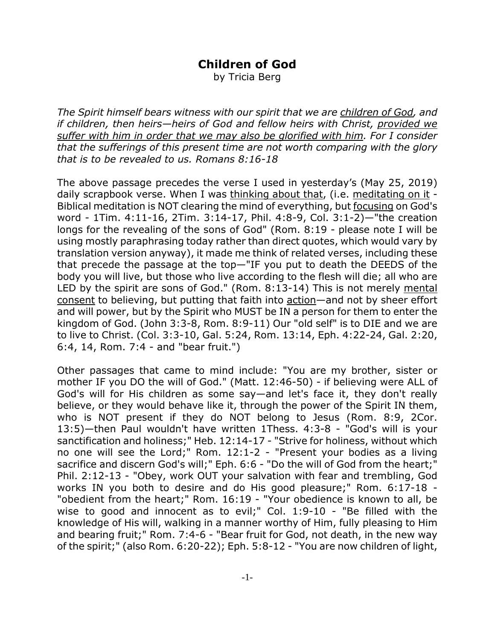## **Children of God**

by Tricia Berg

*The Spirit himself bears witness with our spirit that we are children of God, and if children, then heirs—heirs of God and fellow heirs with Christ, provided we suffer with him in order that we may also be glorified with him. For I consider that the sufferings of this present time are not worth comparing with the glory that is to be revealed to us. Romans 8:16-18*

The above passage precedes the verse I used in yesterday's (May 25, 2019) daily scrapbook verse. When I was thinking about that, (i.e. meditating on it - Biblical meditation is NOT clearing the mind of everything, but focusing on God's word - 1Tim. 4:11-16, 2Tim. 3:14-17, Phil. 4:8-9, Col. 3:1-2)—"the creation longs for the revealing of the sons of God" (Rom. 8:19 - please note I will be using mostly paraphrasing today rather than direct quotes, which would vary by translation version anyway), it made me think of related verses, including these that precede the passage at the top—"IF you put to death the DEEDS of the body you will live, but those who live according to the flesh will die; all who are LED by the spirit are sons of God." (Rom. 8:13-14) This is not merely mental consent to believing, but putting that faith into action—and not by sheer effort and will power, but by the Spirit who MUST be IN a person for them to enter the kingdom of God. (John 3:3-8, Rom. 8:9-11) Our "old self" is to DIE and we are to live to Christ. (Col. 3:3-10, Gal. 5:24, Rom. 13:14, Eph. 4:22-24, Gal. 2:20, 6:4, 14, Rom. 7:4 - and "bear fruit.")

Other passages that came to mind include: "You are my brother, sister or mother IF you DO the will of God." (Matt. 12:46-50) - if believing were ALL of God's will for His children as some say—and let's face it, they don't really believe, or they would behave like it, through the power of the Spirit IN them, who is NOT present if they do NOT belong to Jesus (Rom. 8:9, 2Cor. 13:5)—then Paul wouldn't have written 1Thess. 4:3-8 - "God's will is your sanctification and holiness;" Heb. 12:14-17 - "Strive for holiness, without which no one will see the Lord;" Rom. 12:1-2 - "Present your bodies as a living sacrifice and discern God's will;" Eph. 6:6 - "Do the will of God from the heart;" Phil. 2:12-13 - "Obey, work OUT your salvation with fear and trembling, God works IN you both to desire and do His good pleasure;" Rom. 6:17-18 - "obedient from the heart;" Rom. 16:19 - "Your obedience is known to all, be wise to good and innocent as to evil;" Col. 1:9-10 - "Be filled with the knowledge of His will, walking in a manner worthy of Him, fully pleasing to Him and bearing fruit;" Rom. 7:4-6 - "Bear fruit for God, not death, in the new way of the spirit;" (also Rom. 6:20-22); Eph. 5:8-12 - "You are now children of light,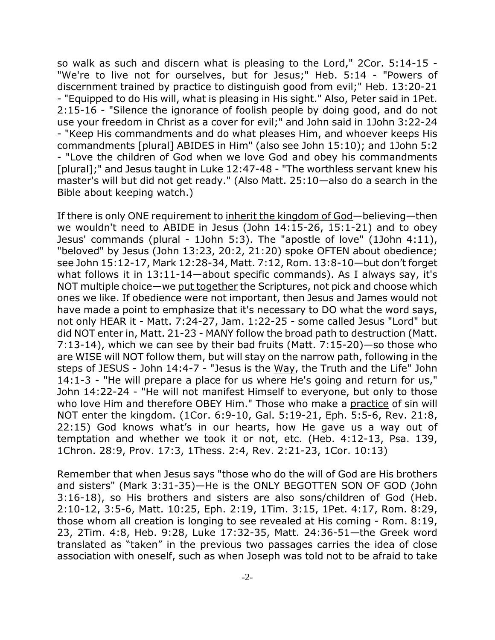so walk as such and discern what is pleasing to the Lord," 2Cor. 5:14-15 - "We're to live not for ourselves, but for Jesus;" Heb. 5:14 - "Powers of discernment trained by practice to distinguish good from evil;" Heb. 13:20-21 - "Equipped to do His will, what is pleasing in His sight." Also, Peter said in 1Pet. 2:15-16 - "Silence the ignorance of foolish people by doing good, and do not use your freedom in Christ as a cover for evil;" and John said in 1John 3:22-24 - "Keep His commandments and do what pleases Him, and whoever keeps His commandments [plural] ABIDES in Him" (also see John 15:10); and 1John 5:2 - "Love the children of God when we love God and obey his commandments [plural];" and Jesus taught in Luke 12:47-48 - "The worthless servant knew his master's will but did not get ready." (Also Matt. 25:10—also do a search in the Bible about keeping watch.)

If there is only ONE requirement to inherit the kingdom of God—believing—then we wouldn't need to ABIDE in Jesus (John 14:15-26, 15:1-21) and to obey Jesus' commands (plural - 1John 5:3). The "apostle of love" (1John 4:11), "beloved" by Jesus (John 13:23, 20:2, 21:20) spoke OFTEN about obedience; see John 15:12-17, Mark 12:28-34, Matt. 7:12, Rom. 13:8-10—but don't forget what follows it in 13:11-14—about specific commands). As I always say, it's NOT multiple choice—we put together the Scriptures, not pick and choose which ones we like. If obedience were not important, then Jesus and James would not have made a point to emphasize that it's necessary to DO what the word says, not only HEAR it - Matt. 7:24-27, Jam. 1:22-25 - some called Jesus "Lord" but did NOT enter in, Matt. 21-23 - MANY follow the broad path to destruction (Matt. 7:13-14), which we can see by their bad fruits (Matt. 7:15-20)—so those who are WISE will NOT follow them, but will stay on the narrow path, following in the steps of JESUS - John 14:4-7 - "Jesus is the Way, the Truth and the Life" John 14:1-3 - "He will prepare a place for us where He's going and return for us," John 14:22-24 - "He will not manifest Himself to everyone, but only to those who love Him and therefore OBEY Him." Those who make a practice of sin will NOT enter the kingdom. (1Cor. 6:9-10, Gal. 5:19-21, Eph. 5:5-6, Rev. 21:8, 22:15) God knows what's in our hearts, how He gave us a way out of temptation and whether we took it or not, etc. (Heb. 4:12-13, Psa. 139, 1Chron. 28:9, Prov. 17:3, 1Thess. 2:4, Rev. 2:21-23, 1Cor. 10:13)

Remember that when Jesus says "those who do the will of God are His brothers and sisters" (Mark 3:31-35)—He is the ONLY BEGOTTEN SON OF GOD (John 3:16-18), so His brothers and sisters are also sons/children of God (Heb. 2:10-12, 3:5-6, Matt. 10:25, Eph. 2:19, 1Tim. 3:15, 1Pet. 4:17, Rom. 8:29, those whom all creation is longing to see revealed at His coming - Rom. 8:19, 23, 2Tim. 4:8, Heb. 9:28, Luke 17:32-35, Matt. 24:36-51—the Greek word translated as "taken" in the previous two passages carries the idea of close association with oneself, such as when Joseph was told not to be afraid to take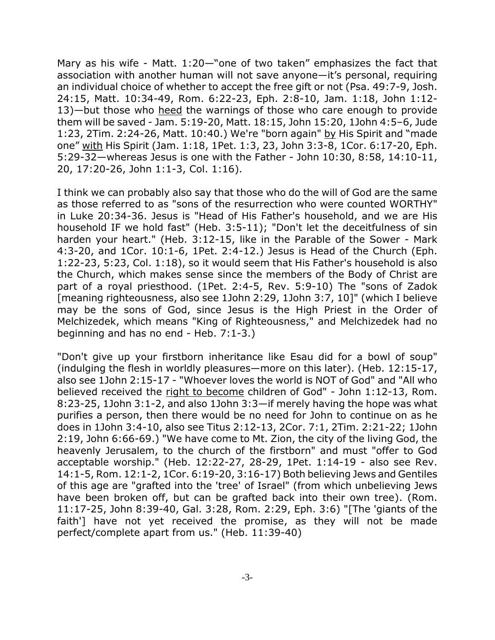Mary as his wife - Matt. 1:20—"one of two taken" emphasizes the fact that association with another human will not save anyone—it's personal, requiring an individual choice of whether to accept the free gift or not (Psa. 49:7-9, Josh. 24:15, Matt. 10:34-49, Rom. 6:22-23, Eph. 2:8-10, Jam. 1:18, John 1:12- 13)—but those who heed the warnings of those who care enough to provide them will be saved - Jam. 5:19-20, Matt. 18:15, John 15:20, 1John 4:5–6, Jude 1:23, 2Tim. 2:24-26, Matt. 10:40.) We're "born again" by His Spirit and "made one" with His Spirit (Jam. 1:18, 1Pet. 1:3, 23, John 3:3-8, 1Cor. 6:17-20, Eph. 5:29-32—whereas Jesus is one with the Father - John 10:30, 8:58, 14:10-11, 20, 17:20-26, John 1:1-3, Col. 1:16).

I think we can probably also say that those who do the will of God are the same as those referred to as "sons of the resurrection who were counted WORTHY" in Luke 20:34-36. Jesus is "Head of His Father's household, and we are His household IF we hold fast" (Heb. 3:5-11); "Don't let the deceitfulness of sin harden your heart." (Heb. 3:12-15, like in the Parable of the Sower - Mark 4:3-20, and 1Cor. 10:1-6, 1Pet. 2:4-12.) Jesus is Head of the Church (Eph. 1:22-23, 5:23, Col. 1:18), so it would seem that His Father's household is also the Church, which makes sense since the members of the Body of Christ are part of a royal priesthood. (1Pet. 2:4-5, Rev. 5:9-10) The "sons of Zadok [meaning righteousness, also see 1John 2:29, 1John 3:7, 10]" (which I believe may be the sons of God, since Jesus is the High Priest in the Order of Melchizedek, which means "King of Righteousness," and Melchizedek had no beginning and has no end - Heb. 7:1-3.)

"Don't give up your firstborn inheritance like Esau did for a bowl of soup" (indulging the flesh in worldly pleasures—more on this later). (Heb. 12:15-17, also see 1John 2:15-17 - "Whoever loves the world is NOT of God" and "All who believed received the right to become children of God" - John 1:12-13, Rom. 8:23-25, 1John 3:1-2, and also 1John 3:3—if merely having the hope was what purifies a person, then there would be no need for John to continue on as he does in 1John 3:4-10, also see Titus 2:12-13, 2Cor. 7:1, 2Tim. 2:21-22; 1John 2:19, John 6:66-69.) "We have come to Mt. Zion, the city of the living God, the heavenly Jerusalem, to the church of the firstborn" and must "offer to God acceptable worship." (Heb. 12:22-27, 28-29, 1Pet. 1:14-19 - also see Rev. 14:1-5, Rom. 12:1-2, 1Cor. 6:19-20, 3:16-17) Both believing Jews and Gentiles of this age are "grafted into the 'tree' of Israel" (from which unbelieving Jews have been broken off, but can be grafted back into their own tree). (Rom. 11:17-25, John 8:39-40, Gal. 3:28, Rom. 2:29, Eph. 3:6) "[The 'giants of the faith'] have not yet received the promise, as they will not be made perfect/complete apart from us." (Heb. 11:39-40)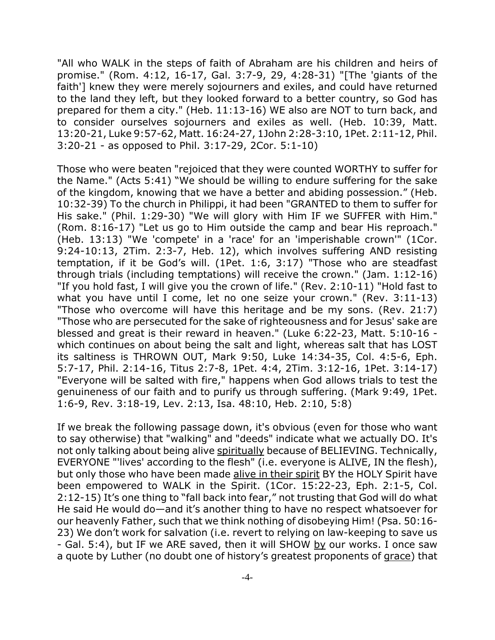"All who WALK in the steps of faith of Abraham are his children and heirs of promise." (Rom. 4:12, 16-17, Gal. 3:7-9, 29, 4:28-31) "[The 'giants of the faith'] knew they were merely sojourners and exiles, and could have returned to the land they left, but they looked forward to a better country, so God has prepared for them a city." (Heb. 11:13-16) WE also are NOT to turn back, and to consider ourselves sojourners and exiles as well. (Heb. 10:39, Matt. 13:20-21, Luke 9:57-62, Matt. 16:24-27, 1John 2:28-3:10, 1Pet. 2:11-12, Phil. 3:20-21 - as opposed to Phil. 3:17-29, 2Cor. 5:1-10)

Those who were beaten "rejoiced that they were counted WORTHY to suffer for the Name." (Acts 5:41) "We should be willing to endure suffering for the sake of the kingdom, knowing that we have a better and abiding possession." (Heb. 10:32-39) To the church in Philippi, it had been "GRANTED to them to suffer for His sake." (Phil. 1:29-30) "We will glory with Him IF we SUFFER with Him." (Rom. 8:16-17) "Let us go to Him outside the camp and bear His reproach." (Heb. 13:13) "We 'compete' in a 'race' for an 'imperishable crown'" (1Cor. 9:24-10:13, 2Tim. 2:3-7, Heb. 12), which involves suffering AND resisting temptation, if it be God's will. (1Pet. 1:6, 3:17) "Those who are steadfast through trials (including temptations) will receive the crown." (Jam. 1:12-16) "If you hold fast, I will give you the crown of life." (Rev. 2:10-11) "Hold fast to what you have until I come, let no one seize your crown." (Rev. 3:11-13) "Those who overcome will have this heritage and be my sons. (Rev. 21:7) "Those who are persecuted for the sake of righteousness and for Jesus' sake are blessed and great is their reward in heaven." (Luke 6:22-23, Matt. 5:10-16 which continues on about being the salt and light, whereas salt that has LOST its saltiness is THROWN OUT, Mark 9:50, Luke 14:34-35, Col. 4:5-6, Eph. 5:7-17, Phil. 2:14-16, Titus 2:7-8, 1Pet. 4:4, 2Tim. 3:12-16, 1Pet. 3:14-17) "Everyone will be salted with fire," happens when God allows trials to test the genuineness of our faith and to purify us through suffering. (Mark 9:49, 1Pet. 1:6-9, Rev. 3:18-19, Lev. 2:13, Isa. 48:10, Heb. 2:10, 5:8)

If we break the following passage down, it's obvious (even for those who want to say otherwise) that "walking" and "deeds" indicate what we actually DO. It's not only talking about being alive spiritually because of BELIEVING. Technically, EVERYONE "'lives' according to the flesh" (i.e. everyone is ALIVE, IN the flesh), but only those who have been made alive in their spirit BY the HOLY Spirit have been empowered to WALK in the Spirit. (1Cor. 15:22-23, Eph. 2:1-5, Col. 2:12-15) It's one thing to "fall back into fear," not trusting that God will do what He said He would do—and it's another thing to have no respect whatsoever for our heavenly Father, such that we think nothing of disobeying Him! (Psa. 50:16- 23) We don't work for salvation (i.e. revert to relying on law-keeping to save us - Gal. 5:4), but IF we ARE saved, then it will SHOW by our works. I once saw a quote by Luther (no doubt one of history's greatest proponents of grace) that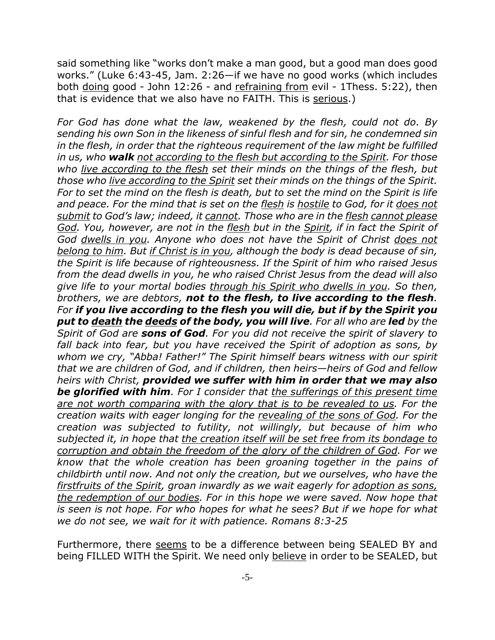said something like "works don't make a man good, but a good man does good works." (Luke 6:43-45, Jam. 2:26—if we have no good works (which includes both doing good - John 12:26 - and refraining from evil - 1Thess. 5:22), then that is evidence that we also have no FAITH. This is serious.)

*For God has done what the law, weakened by the flesh, could not do. By sending his own Son in the likeness of sinful flesh and for sin, he condemned sin in the flesh, in order that the righteous requirement of the law might be fulfilled in us, who walk not according to the flesh but according to the Spirit. For those who live according to the flesh set their minds on the things of the flesh, but those who live according to the Spirit set their minds on the things of the Spirit. For to set the mind on the flesh is death, but to set the mind on the Spirit is life and peace. For the mind that is set on the flesh is hostile to God, for it does not submit to God's law; indeed, it cannot. Those who are in the flesh cannot please God. You, however, are not in the flesh but in the Spirit, if in fact the Spirit of God dwells in you. Anyone who does not have the Spirit of Christ does not belong to him. But if Christ is in you, although the body is dead because of sin, the Spirit is life because of righteousness. If the Spirit of him who raised Jesus from the dead dwells in you, he who raised Christ Jesus from the dead will also give life to your mortal bodies through his Spirit who dwells in you. So then, brothers, we are debtors, not to the flesh, to live according to the flesh. For if you live according to the flesh you will die, but if by the Spirit you put to death the deeds of the body, you will live. For all who are led by the Spirit of God are sons of God. For you did not receive the spirit of slavery to fall back into fear, but you have received the Spirit of adoption as sons, by whom we cry, "Abba! Father!" The Spirit himself bears witness with our spirit that we are children of God, and if children, then heirs—heirs of God and fellow heirs with Christ, provided we suffer with him in order that we may also be glorified with him. For I consider that the sufferings of this present time are not worth comparing with the glory that is to be revealed to us. For the creation waits with eager longing for the revealing of the sons of God. For the creation was subjected to futility, not willingly, but because of him who subjected it, in hope that the creation itself will be set free from its bondage to corruption and obtain the freedom of the glory of the children of God. For we know that the whole creation has been groaning together in the pains of childbirth until now. And not only the creation, but we ourselves, who have the firstfruits of the Spirit, groan inwardly as we wait eagerly for adoption as sons, the redemption of our bodies. For in this hope we were saved. Now hope that is seen is not hope. For who hopes for what he sees? But if we hope for what we do not see, we wait for it with patience. Romans 8:3-25*

Furthermore, there seems to be a difference between being SEALED BY and being FILLED WITH the Spirit. We need only believe in order to be SEALED, but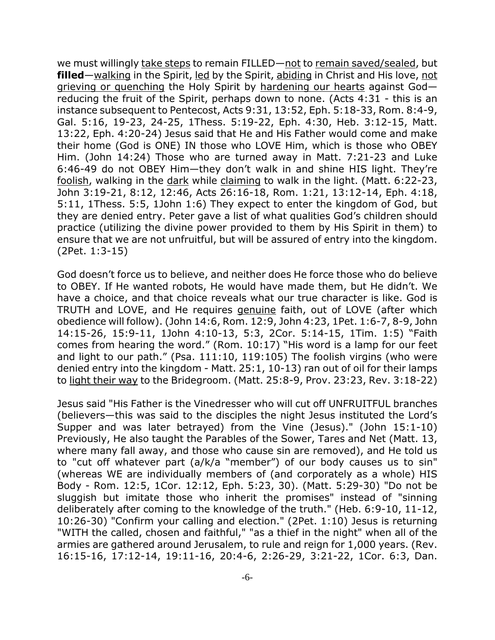we must willingly take steps to remain FILLED—not to remain saved/sealed, but **filled**—walking in the Spirit, led by the Spirit, abiding in Christ and His love, not grieving or quenching the Holy Spirit by hardening our hearts against God reducing the fruit of the Spirit, perhaps down to none. (Acts 4:31 - this is an instance subsequent to Pentecost, Acts 9:31, 13:52, Eph. 5:18-33, Rom. 8:4-9, Gal. 5:16, 19-23, 24-25, 1Thess. 5:19-22, Eph. 4:30, Heb. 3:12-15, Matt. 13:22, Eph. 4:20-24) Jesus said that He and His Father would come and make their home (God is ONE) IN those who LOVE Him, which is those who OBEY Him. (John 14:24) Those who are turned away in Matt. 7:21-23 and Luke 6:46-49 do not OBEY Him—they don't walk in and shine HIS light. They're foolish, walking in the dark while claiming to walk in the light. (Matt. 6:22-23, John 3:19-21, 8:12, 12:46, Acts 26:16-18, Rom. 1:21, 13:12-14, Eph. 4:18, 5:11, 1Thess. 5:5, 1John 1:6) They expect to enter the kingdom of God, but they are denied entry. Peter gave a list of what qualities God's children should practice (utilizing the divine power provided to them by His Spirit in them) to ensure that we are not unfruitful, but will be assured of entry into the kingdom. (2Pet. 1:3-15)

God doesn't force us to believe, and neither does He force those who do believe to OBEY. If He wanted robots, He would have made them, but He didn't. We have a choice, and that choice reveals what our true character is like. God is TRUTH and LOVE, and He requires genuine faith, out of LOVE (after which obedience will follow). (John 14:6, Rom. 12:9, John 4:23, 1Pet. 1:6-7, 8-9, John 14:15-26, 15:9-11, 1John 4:10-13, 5:3, 2Cor. 5:14-15, 1Tim. 1:5) "Faith comes from hearing the word." (Rom. 10:17) "His word is a lamp for our feet and light to our path." (Psa. 111:10, 119:105) The foolish virgins (who were denied entry into the kingdom - Matt. 25:1, 10-13) ran out of oil for their lamps to light their way to the Bridegroom. (Matt. 25:8-9, Prov. 23:23, Rev. 3:18-22)

Jesus said "His Father is the Vinedresser who will cut off UNFRUITFUL branches (believers—this was said to the disciples the night Jesus instituted the Lord's Supper and was later betrayed) from the Vine (Jesus)." (John 15:1-10) Previously, He also taught the Parables of the Sower, Tares and Net (Matt. 13, where many fall away, and those who cause sin are removed), and He told us to "cut off whatever part (a/k/a "member") of our body causes us to sin" (whereas WE are individually members of (and corporately as a whole) HIS Body - Rom. 12:5, 1Cor. 12:12, Eph. 5:23, 30). (Matt. 5:29-30) "Do not be sluggish but imitate those who inherit the promises" instead of "sinning deliberately after coming to the knowledge of the truth." (Heb. 6:9-10, 11-12, 10:26-30) "Confirm your calling and election." (2Pet. 1:10) Jesus is returning "WITH the called, chosen and faithful," "as a thief in the night" when all of the armies are gathered around Jerusalem, to rule and reign for 1,000 years. (Rev. 16:15-16, 17:12-14, 19:11-16, 20:4-6, 2:26-29, 3:21-22, 1Cor. 6:3, Dan.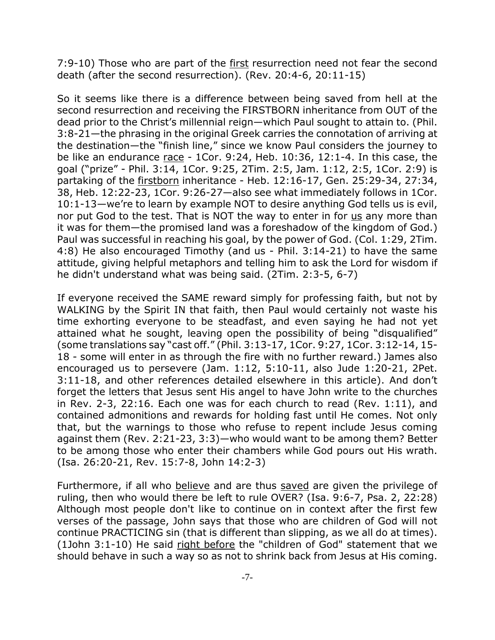7:9-10) Those who are part of the first resurrection need not fear the second death (after the second resurrection). (Rev. 20:4-6, 20:11-15)

So it seems like there is a difference between being saved from hell at the second resurrection and receiving the FIRSTBORN inheritance from OUT of the dead prior to the Christ's millennial reign—which Paul sought to attain to. (Phil. 3:8-21—the phrasing in the original Greek carries the connotation of arriving at the destination—the "finish line," since we know Paul considers the journey to be like an endurance  $r$  ace - 1Cor. 9:24, Heb. 10:36, 12:1-4. In this case, the goal ("prize" - Phil. 3:14, 1Cor. 9:25, 2Tim. 2:5, Jam. 1:12, 2:5, 1Cor. 2:9) is partaking of the firstborn inheritance - Heb. 12:16-17, Gen. 25:29-34, 27:34, 38, Heb. 12:22-23, 1Cor. 9:26-27—also see what immediately follows in 1Cor. 10:1-13—we're to learn by example NOT to desire anything God tells us is evil, nor put God to the test. That is NOT the way to enter in for us any more than it was for them—the promised land was a foreshadow of the kingdom of God.) Paul was successful in reaching his goal, by the power of God. (Col. 1:29, 2Tim. 4:8) He also encouraged Timothy (and us - Phil. 3:14-21) to have the same attitude, giving helpful metaphors and telling him to ask the Lord for wisdom if he didn't understand what was being said. (2Tim. 2:3-5, 6-7)

If everyone received the SAME reward simply for professing faith, but not by WALKING by the Spirit IN that faith, then Paul would certainly not waste his time exhorting everyone to be steadfast, and even saying he had not yet attained what he sought, leaving open the possibility of being "disqualified" (some translations say "cast off." (Phil. 3:13-17, 1Cor. 9:27, 1Cor. 3:12-14, 15- 18 - some will enter in as through the fire with no further reward.) James also encouraged us to persevere (Jam. 1:12, 5:10-11, also Jude 1:20-21, 2Pet. 3:11-18, and other references detailed elsewhere in this article). And don't forget the letters that Jesus sent His angel to have John write to the churches in Rev. 2-3, 22:16. Each one was for each church to read (Rev. 1:11), and contained admonitions and rewards for holding fast until He comes. Not only that, but the warnings to those who refuse to repent include Jesus coming against them (Rev. 2:21-23, 3:3)—who would want to be among them? Better to be among those who enter their chambers while God pours out His wrath. (Isa. 26:20-21, Rev. 15:7-8, John 14:2-3)

Furthermore, if all who believe and are thus saved are given the privilege of ruling, then who would there be left to rule OVER? (Isa. 9:6-7, Psa. 2, 22:28) Although most people don't like to continue on in context after the first few verses of the passage, John says that those who are children of God will not continue PRACTICING sin (that is different than slipping, as we all do at times). (1John 3:1-10) He said right before the "children of God" statement that we should behave in such a way so as not to shrink back from Jesus at His coming.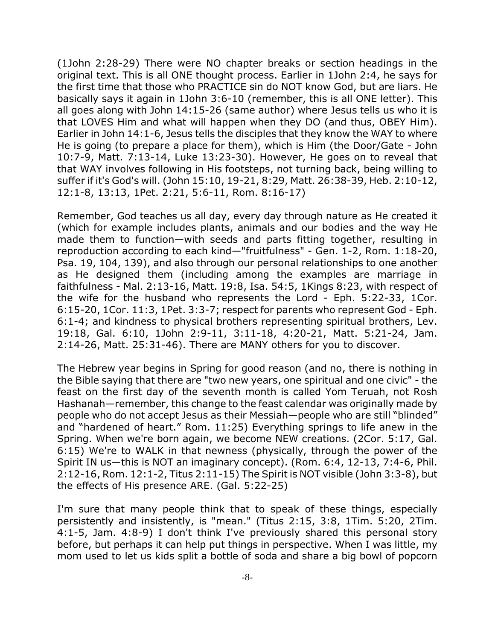(1John 2:28-29) There were NO chapter breaks or section headings in the original text. This is all ONE thought process. Earlier in 1John 2:4, he says for the first time that those who PRACTICE sin do NOT know God, but are liars. He basically says it again in 1John 3:6-10 (remember, this is all ONE letter). This all goes along with John 14:15-26 (same author) where Jesus tells us who it is that LOVES Him and what will happen when they DO (and thus, OBEY Him). Earlier in John 14:1-6, Jesus tells the disciples that they know the WAY to where He is going (to prepare a place for them), which is Him (the Door/Gate - John 10:7-9, Matt. 7:13-14, Luke 13:23-30). However, He goes on to reveal that that WAY involves following in His footsteps, not turning back, being willing to suffer if it's God's will. (John 15:10, 19-21, 8:29, Matt. 26:38-39, Heb. 2:10-12, 12:1-8, 13:13, 1Pet. 2:21, 5:6-11, Rom. 8:16-17)

Remember, God teaches us all day, every day through nature as He created it (which for example includes plants, animals and our bodies and the way He made them to function—with seeds and parts fitting together, resulting in reproduction according to each kind—"fruitfulness" - Gen. 1-2, Rom. 1:18-20, Psa. 19, 104, 139), and also through our personal relationships to one another as He designed them (including among the examples are marriage in faithfulness - Mal. 2:13-16, Matt. 19:8, Isa. 54:5, 1Kings 8:23, with respect of the wife for the husband who represents the Lord - Eph. 5:22-33, 1Cor. 6:15-20, 1Cor. 11:3, 1Pet. 3:3-7; respect for parents who represent God - Eph. 6:1-4; and kindness to physical brothers representing spiritual brothers, Lev. 19:18, Gal. 6:10, 1John 2:9-11, 3:11-18, 4:20-21, Matt. 5:21-24, Jam. 2:14-26, Matt. 25:31-46). There are MANY others for you to discover.

The Hebrew year begins in Spring for good reason (and no, there is nothing in the Bible saying that there are "two new years, one spiritual and one civic" - the feast on the first day of the seventh month is called Yom Teruah, not Rosh Hashanah—remember, this change to the feast calendar was originally made by people who do not accept Jesus as their Messiah—people who are still "blinded" and "hardened of heart." Rom. 11:25) Everything springs to life anew in the Spring. When we're born again, we become NEW creations. (2Cor. 5:17, Gal. 6:15) We're to WALK in that newness (physically, through the power of the Spirit IN us—this is NOT an imaginary concept). (Rom. 6:4, 12-13, 7:4-6, Phil. 2:12-16, Rom. 12:1-2, Titus 2:11-15) The Spirit is NOT visible (John 3:3-8), but the effects of His presence ARE. (Gal. 5:22-25)

I'm sure that many people think that to speak of these things, especially persistently and insistently, is "mean." (Titus 2:15, 3:8, 1Tim. 5:20, 2Tim. 4:1-5, Jam. 4:8-9) I don't think I've previously shared this personal story before, but perhaps it can help put things in perspective. When I was little, my mom used to let us kids split a bottle of soda and share a big bowl of popcorn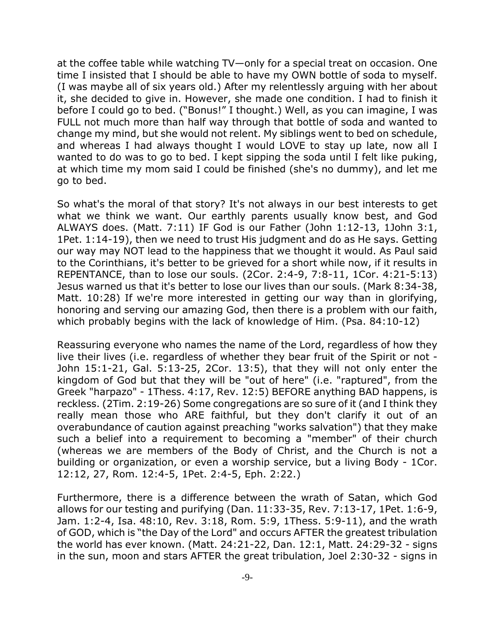at the coffee table while watching TV—only for a special treat on occasion. One time I insisted that I should be able to have my OWN bottle of soda to myself. (I was maybe all of six years old.) After my relentlessly arguing with her about it, she decided to give in. However, she made one condition. I had to finish it before I could go to bed. ("Bonus!" I thought.) Well, as you can imagine, I was FULL not much more than half way through that bottle of soda and wanted to change my mind, but she would not relent. My siblings went to bed on schedule, and whereas I had always thought I would LOVE to stay up late, now all I wanted to do was to go to bed. I kept sipping the soda until I felt like puking, at which time my mom said I could be finished (she's no dummy), and let me go to bed.

So what's the moral of that story? It's not always in our best interests to get what we think we want. Our earthly parents usually know best, and God ALWAYS does. (Matt. 7:11) IF God is our Father (John 1:12-13, 1John 3:1, 1Pet. 1:14-19), then we need to trust His judgment and do as He says. Getting our way may NOT lead to the happiness that we thought it would. As Paul said to the Corinthians, it's better to be grieved for a short while now, if it results in REPENTANCE, than to lose our souls. (2Cor. 2:4-9, 7:8-11, 1Cor. 4:21-5:13) Jesus warned us that it's better to lose our lives than our souls. (Mark 8:34-38, Matt. 10:28) If we're more interested in getting our way than in glorifying, honoring and serving our amazing God, then there is a problem with our faith, which probably begins with the lack of knowledge of Him. (Psa. 84:10-12)

Reassuring everyone who names the name of the Lord, regardless of how they live their lives (i.e. regardless of whether they bear fruit of the Spirit or not - John 15:1-21, Gal. 5:13-25, 2Cor. 13:5), that they will not only enter the kingdom of God but that they will be "out of here" (i.e. "raptured", from the Greek "harpazo" - 1Thess. 4:17, Rev. 12:5) BEFORE anything BAD happens, is reckless. (2Tim. 2:19-26) Some congregations are so sure of it (and I think they really mean those who ARE faithful, but they don't clarify it out of an overabundance of caution against preaching "works salvation") that they make such a belief into a requirement to becoming a "member" of their church (whereas we are members of the Body of Christ, and the Church is not a building or organization, or even a worship service, but a living Body - 1Cor. 12:12, 27, Rom. 12:4-5, 1Pet. 2:4-5, Eph. 2:22.)

Furthermore, there is a difference between the wrath of Satan, which God allows for our testing and purifying (Dan. 11:33-35, Rev. 7:13-17, 1Pet. 1:6-9, Jam. 1:2-4, Isa. 48:10, Rev. 3:18, Rom. 5:9, 1Thess. 5:9-11), and the wrath of GOD, which is "the Day of the Lord" and occurs AFTER the greatest tribulation the world has ever known. (Matt. 24:21-22, Dan. 12:1, Matt. 24:29-32 - signs in the sun, moon and stars AFTER the great tribulation, Joel 2:30-32 - signs in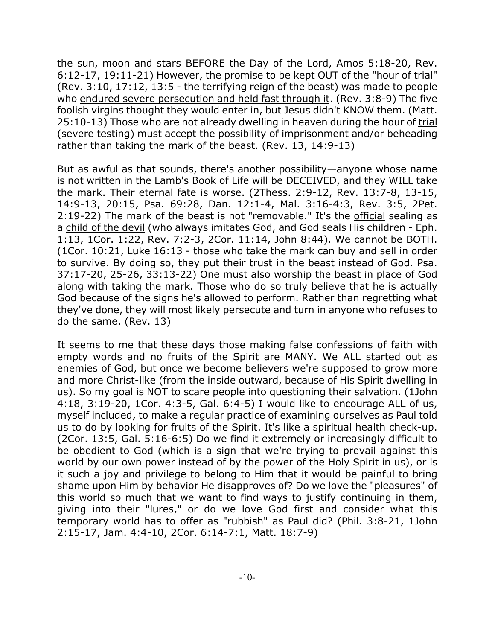the sun, moon and stars BEFORE the Day of the Lord, Amos 5:18-20, Rev. 6:12-17, 19:11-21) However, the promise to be kept OUT of the "hour of trial" (Rev. 3:10, 17:12, 13:5 - the terrifying reign of the beast) was made to people who endured severe persecution and held fast through it. (Rev. 3:8-9) The five foolish virgins thought they would enter in, but Jesus didn't KNOW them. (Matt. 25:10-13) Those who are not already dwelling in heaven during the hour of trial (severe testing) must accept the possibility of imprisonment and/or beheading rather than taking the mark of the beast. (Rev. 13, 14:9-13)

But as awful as that sounds, there's another possibility—anyone whose name is not written in the Lamb's Book of Life will be DECEIVED, and they WILL take the mark. Their eternal fate is worse. (2Thess. 2:9-12, Rev. 13:7-8, 13-15, 14:9-13, 20:15, Psa. 69:28, Dan. 12:1-4, Mal. 3:16-4:3, Rev. 3:5, 2Pet. 2:19-22) The mark of the beast is not "removable." It's the official sealing as a child of the devil (who always imitates God, and God seals His children - Eph. 1:13, 1Cor. 1:22, Rev. 7:2-3, 2Cor. 11:14, John 8:44). We cannot be BOTH. (1Cor. 10:21, Luke 16:13 - those who take the mark can buy and sell in order to survive. By doing so, they put their trust in the beast instead of God. Psa. 37:17-20, 25-26, 33:13-22) One must also worship the beast in place of God along with taking the mark. Those who do so truly believe that he is actually God because of the signs he's allowed to perform. Rather than regretting what they've done, they will most likely persecute and turn in anyone who refuses to do the same. (Rev. 13)

It seems to me that these days those making false confessions of faith with empty words and no fruits of the Spirit are MANY. We ALL started out as enemies of God, but once we become believers we're supposed to grow more and more Christ-like (from the inside outward, because of His Spirit dwelling in us). So my goal is NOT to scare people into questioning their salvation. (1John 4:18, 3:19-20, 1Cor. 4:3-5, Gal. 6:4-5) I would like to encourage ALL of us, myself included, to make a regular practice of examining ourselves as Paul told us to do by looking for fruits of the Spirit. It's like a spiritual health check-up. (2Cor. 13:5, Gal. 5:16-6:5) Do we find it extremely or increasingly difficult to be obedient to God (which is a sign that we're trying to prevail against this world by our own power instead of by the power of the Holy Spirit in us), or is it such a joy and privilege to belong to Him that it would be painful to bring shame upon Him by behavior He disapproves of? Do we love the "pleasures" of this world so much that we want to find ways to justify continuing in them, giving into their "lures," or do we love God first and consider what this temporary world has to offer as "rubbish" as Paul did? (Phil. 3:8-21, 1John 2:15-17, Jam. 4:4-10, 2Cor. 6:14-7:1, Matt. 18:7-9)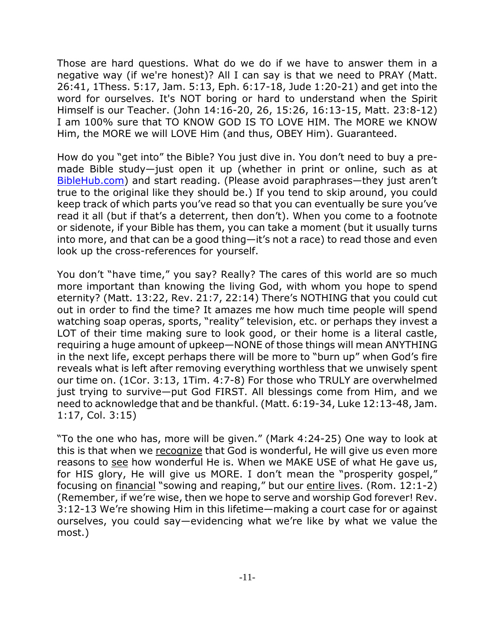Those are hard questions. What do we do if we have to answer them in a negative way (if we're honest)? All I can say is that we need to PRAY (Matt. 26:41, 1Thess. 5:17, Jam. 5:13, Eph. 6:17-18, Jude 1:20-21) and get into the word for ourselves. It's NOT boring or hard to understand when the Spirit Himself is our Teacher. (John 14:16-20, 26, 15:26, 16:13-15, Matt. 23:8-12) I am 100% sure that TO KNOW GOD IS TO LOVE HIM. The MORE we KNOW Him, the MORE we will LOVE Him (and thus, OBEY Him). Guaranteed.

How do you "get into" the Bible? You just dive in. You don't need to buy a premade Bible study—just open it up (whether in print or online, such as at BibleHub.com) and start reading. (Please avoid paraphrases—they just aren't true to the original like they should be.) If you tend to skip around, you could keep track of which parts you've read so that you can eventually be sure you've read it all (but if that's a deterrent, then don't). When you come to a footnote or sidenote, if your Bible has them, you can take a moment (but it usually turns into more, and that can be a good thing—it's not a race) to read those and even look up the cross-references for yourself.

You don't "have time," you say? Really? The cares of this world are so much more important than knowing the living God, with whom you hope to spend eternity? (Matt. 13:22, Rev. 21:7, 22:14) There's NOTHING that you could cut out in order to find the time? It amazes me how much time people will spend watching soap operas, sports, "reality" television, etc. or perhaps they invest a LOT of their time making sure to look good, or their home is a literal castle, requiring a huge amount of upkeep—NONE of those things will mean ANYTHING in the next life, except perhaps there will be more to "burn up" when God's fire reveals what is left after removing everything worthless that we unwisely spent our time on. (1Cor. 3:13, 1Tim. 4:7-8) For those who TRULY are overwhelmed just trying to survive—put God FIRST. All blessings come from Him, and we need to acknowledge that and be thankful. (Matt. 6:19-34, Luke 12:13-48, Jam. 1:17, Col. 3:15)

"To the one who has, more will be given." (Mark 4:24-25) One way to look at this is that when we recognize that God is wonderful, He will give us even more reasons to see how wonderful He is. When we MAKE USE of what He gave us, for HIS glory, He will give us MORE. I don't mean the "prosperity gospel," focusing on financial "sowing and reaping," but our entire lives. (Rom. 12:1-2) (Remember, if we're wise, then we hope to serve and worship God forever! Rev. 3:12-13 We're showing Him in this lifetime—making a court case for or against ourselves, you could say—evidencing what we're like by what we value the most.)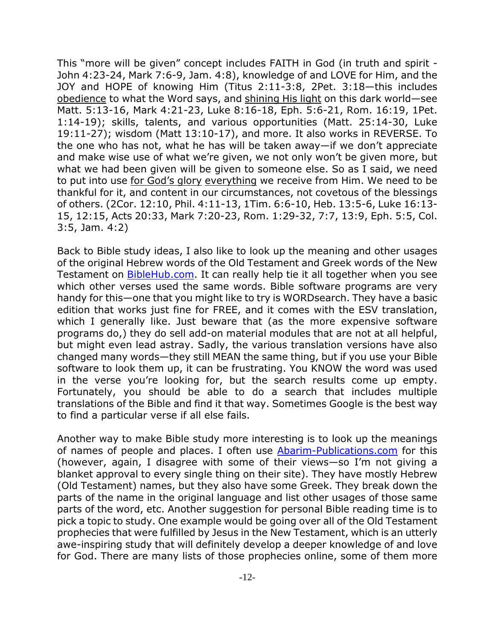This "more will be given" concept includes FAITH in God (in truth and spirit - John 4:23-24, Mark 7:6-9, Jam. 4:8), knowledge of and LOVE for Him, and the JOY and HOPE of knowing Him (Titus 2:11-3:8, 2Pet. 3:18—this includes obedience to what the Word says, and shining His light on this dark world—see Matt. 5:13-16, Mark 4:21-23, Luke 8:16-18, Eph. 5:6-21, Rom. 16:19, 1Pet. 1:14-19); skills, talents, and various opportunities (Matt. 25:14-30, Luke 19:11-27); wisdom (Matt 13:10-17), and more. It also works in REVERSE. To the one who has not, what he has will be taken away—if we don't appreciate and make wise use of what we're given, we not only won't be given more, but what we had been given will be given to someone else. So as I said, we need to put into use for God's glory everything we receive from Him. We need to be thankful for it, and content in our circumstances, not covetous of the blessings of others. (2Cor. 12:10, Phil. 4:11-13, 1Tim. 6:6-10, Heb. 13:5-6, Luke 16:13- 15, 12:15, Acts 20:33, Mark 7:20-23, Rom. 1:29-32, 7:7, 13:9, Eph. 5:5, Col. 3:5, Jam. 4:2)

Back to Bible study ideas, I also like to look up the meaning and other usages of the original Hebrew words of the Old Testament and Greek words of the New Testament on BibleHub.com. It can really help tie it all together when you see which other verses used the same words. Bible software programs are very handy for this—one that you might like to try is WORDsearch. They have a basic edition that works just fine for FREE, and it comes with the ESV translation, which I generally like. Just beware that (as the more expensive software programs do,) they do sell add-on material modules that are not at all helpful, but might even lead astray. Sadly, the various translation versions have also changed many words—they still MEAN the same thing, but if you use your Bible software to look them up, it can be frustrating. You KNOW the word was used in the verse you're looking for, but the search results come up empty. Fortunately, you should be able to do a search that includes multiple translations of the Bible and find it that way. Sometimes Google is the best way to find a particular verse if all else fails.

Another way to make Bible study more interesting is to look up the meanings of names of people and places. I often use Abarim-Publications.com for this (however, again, I disagree with some of their views—so I'm not giving a blanket approval to every single thing on their site). They have mostly Hebrew (Old Testament) names, but they also have some Greek. They break down the parts of the name in the original language and list other usages of those same parts of the word, etc. Another suggestion for personal Bible reading time is to pick a topic to study. One example would be going over all of the Old Testament prophecies that were fulfilled by Jesus in the New Testament, which is an utterly awe-inspiring study that will definitely develop a deeper knowledge of and love for God. There are many lists of those prophecies online, some of them more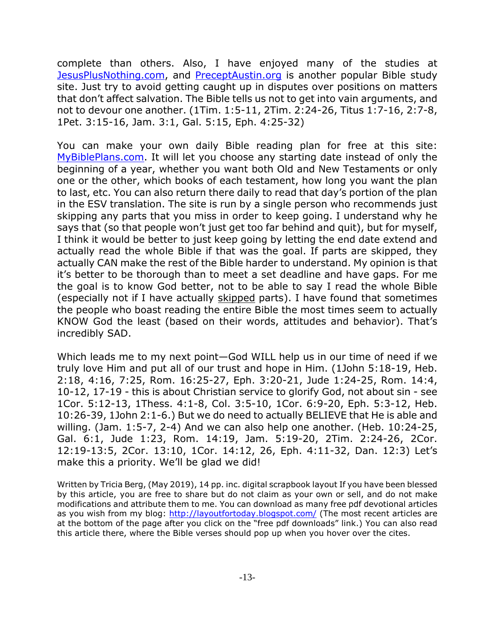complete than others. Also, I have enjoyed many of the studies at JesusPlusNothing.com, and PreceptAustin.org is another popular Bible study site. Just try to avoid getting caught up in disputes over positions on matters that don't affect salvation. The Bible tells us not to get into vain arguments, and not to devour one another. (1Tim. 1:5-11, 2Tim. 2:24-26, Titus 1:7-16, 2:7-8, 1Pet. 3:15-16, Jam. 3:1, Gal. 5:15, Eph. 4:25-32)

You can make your own daily Bible reading plan for free at this site: MyBiblePlans.com. It will let you choose any starting date instead of only the beginning of a year, whether you want both Old and New Testaments or only one or the other, which books of each testament, how long you want the plan to last, etc. You can also return there daily to read that day's portion of the plan in the ESV translation. The site is run by a single person who recommends just skipping any parts that you miss in order to keep going. I understand why he says that (so that people won't just get too far behind and quit), but for myself, I think it would be better to just keep going by letting the end date extend and actually read the whole Bible if that was the goal. If parts are skipped, they actually CAN make the rest of the Bible harder to understand. My opinion is that it's better to be thorough than to meet a set deadline and have gaps. For me the goal is to know God better, not to be able to say I read the whole Bible (especially not if I have actually skipped parts). I have found that sometimes the people who boast reading the entire Bible the most times seem to actually KNOW God the least (based on their words, attitudes and behavior). That's incredibly SAD.

Which leads me to my next point—God WILL help us in our time of need if we truly love Him and put all of our trust and hope in Him. (1John 5:18-19, Heb. 2:18, 4:16, 7:25, Rom. 16:25-27, Eph. 3:20-21, Jude 1:24-25, Rom. 14:4, 10-12, 17-19 - this is about Christian service to glorify God, not about sin - see 1Cor. 5:12-13, 1Thess. 4:1-8, Col. 3:5-10, 1Cor. 6:9-20, Eph. 5:3-12, Heb. 10:26-39, 1John 2:1-6.) But we do need to actually BELIEVE that He is able and willing. (Jam. 1:5-7, 2-4) And we can also help one another. (Heb. 10:24-25, Gal. 6:1, Jude 1:23, Rom. 14:19, Jam. 5:19-20, 2Tim. 2:24-26, 2Cor. 12:19-13:5, 2Cor. 13:10, 1Cor. 14:12, 26, Eph. 4:11-32, Dan. 12:3) Let's make this a priority. We'll be glad we did!

Written by Tricia Berg, (May 2019), 14 pp. inc. digital scrapbook layout If you have been blessed by this article, you are free to share but do not claim as your own or sell, and do not make modifications and attribute them to me. You can download as many free pdf devotional articles as you wish from my blog: http://layoutfortoday.blogspot.com/ (The most recent articles are at the bottom of the page after you click on the "free pdf downloads" link.) You can also read this article there, where the Bible verses should pop up when you hover over the cites.